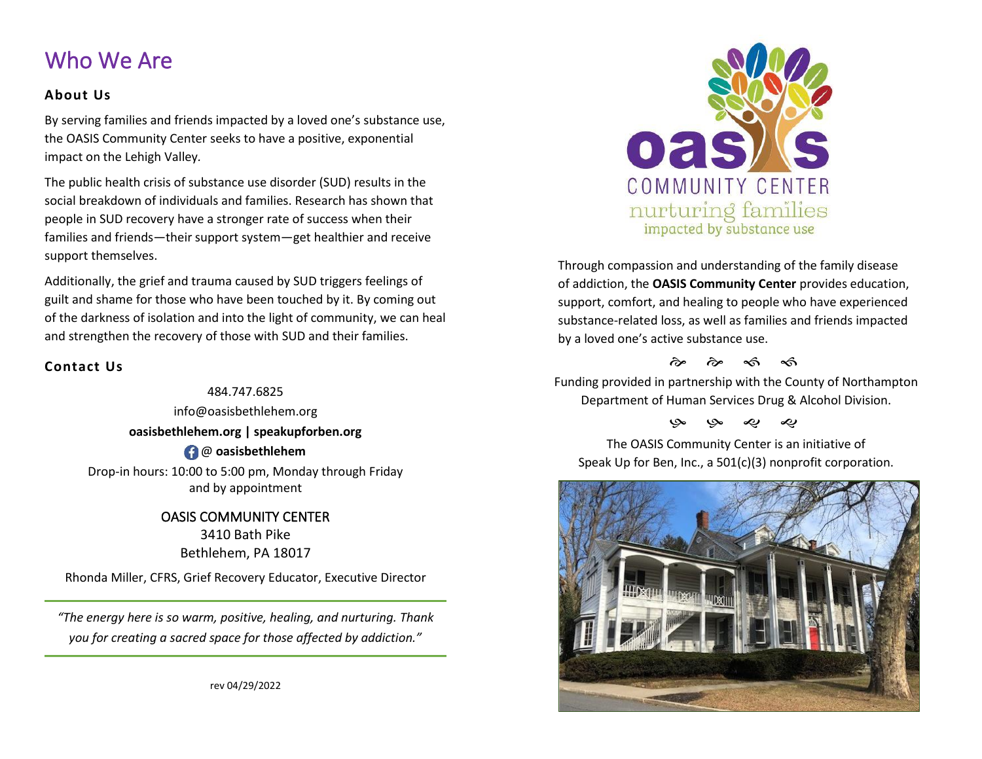## Who We Are

#### **About Us**

By serving families and friends impacted by a loved one's substance use, the OASIS Community Center seeks to have a positive, exponential impact on the Lehigh Valley*.*

The public health crisis of substance use disorder (SUD) results in the social breakdown of individuals and families. Research has shown that people in SUD recovery have a stronger rate of success when their families and friends—their support system—get healthier and receive support themselves.

Additionally, the grief and trauma caused by SUD triggers feelings of guilt and shame for those who have been touched by it. By coming out of the darkness of isolation and into the light of community, we can heal and strengthen the recovery of those with SUD and their families.

### **Contact Us**

484.747.6825 info@oasisbethlehem.org **oasisbethlehem.org | speakupforben.org**  @ **oasisbethlehem** Drop-in hours: 10:00 to 5:00 pm, Monday through Friday and by appointment

> OASIS COMMUNITY CENTER 3410 Bath Pike Bethlehem, PA 18017

Rhonda Miller, CFRS, Grief Recovery Educator, Executive Director

*"The energy here is so warm, positive, healing, and nurturing. Thank you for creating a sacred space for those affected by addiction."*



Through compassion and understanding of the family disease of addiction, the **OASIS Community Center** provides education, support, comfort, and healing to people who have experienced substance-related loss, as well as families and friends impacted by a loved one's active substance use.

 $\hat{\sigma}$   $\hat{\sigma}$   $\hat{\sigma}$   $\hat{\sigma}$ 

Funding provided in partnership with the County of Northampton Department of Human Services Drug & Alcohol Division.

### به به ی ی

The OASIS Community Center is an initiative of Speak Up for Ben, Inc., a 501(c)(3) nonprofit corporation.



rev 04/29/2022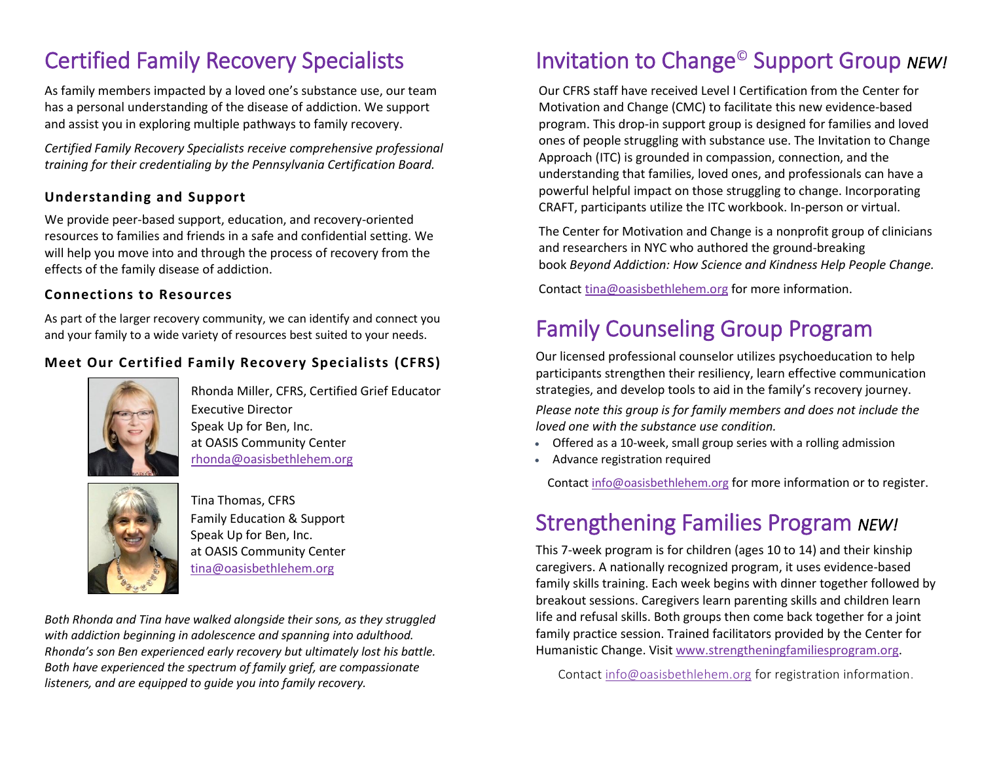# Certified Family Recovery Specialists

As family members impacted by a loved one's substance use, our team has a personal understanding of the disease of addiction. We support and assist you in exploring multiple pathways to family recovery.

*Certified Family Recovery Specialists receive comprehensive professional training for their credentialing by the Pennsylvania Certification Board.* 

### **Understanding and Support**

We provide peer-based support, education, and recovery-oriented resources to families and friends in a safe and confidential setting. We will help you move into and through the process of recovery from the effects of the family disease of addiction.

#### **Connections to Resources**

As part of the larger recovery community, we can identify and connect you and your family to a wide variety of resources best suited to your needs.

### **Meet Our Certified Family Recovery Specialists (CFRS)**



Rhonda Miller, CFRS, Certified Grief Educator Executive Director Speak Up for Ben, Inc. at OASIS Community Center [rhonda@oasisbethlehem.org](mailto:rhonda@oasisbethlehem.org) 



Tina Thomas, CFRS Family Education & Support Speak Up for Ben, Inc. at OASIS Community Center [tina@oasisbethlehem.org](mailto:tina@oasisbethlehem.org)

*Both Rhonda and Tina have walked alongside their sons, as they struggled with addiction beginning in adolescence and spanning into adulthood. Rhonda's son Ben experienced early recovery but ultimately lost his battle. Both have experienced the spectrum of family grief, are compassionate listeners, and are equipped to guide you into family recovery.*

# Invitation to Change© Support Group *NEW!*

Our CFRS staff have received Level I Certification from the Center for Motivation and Change (CMC) to facilitate this new evidence-based program. This drop-in support group is designed for families and loved ones of people struggling with substance use. The Invitation to Change Approach (ITC) is grounded in compassion, connection, and the understanding that families, loved ones, and professionals can have a powerful helpful impact on those struggling to change. Incorporating CRAFT, participants utilize the ITC workbook. In-person or virtual.

The Center for Motivation and Change is a nonprofit group of clinicians and researchers in NYC who authored the ground-breaking book *Beyond Addiction: How Science and Kindness Help People Change.*

Contac[t tina@oasisbethlehem.org](mailto:tina@oasisbethlehem.org) for more information.

# Family Counseling Group Program

Our licensed professional counselor utilizes psychoeducation to help participants strengthen their resiliency, learn effective communication strategies, and develop tools to aid in the family's recovery journey.

*Please note this group is for family members and does not include the loved one with the substance use condition.* 

- Offered as a 10-week, small group series with a rolling admission
- Advance registration required

Contact [info@oasisbethlehem.org](mailto:info@oasisbethlehem.org) for more information or to register.

## Strengthening Families Program *NEW!*

This 7-week program is for children (ages 10 to 14) and their kinship caregivers. A nationally recognized program, it uses evidence-based family skills training. Each week begins with dinner together followed by breakout sessions. Caregivers learn parenting skills and children learn life and refusal skills. Both groups then come back together for a joint family practice session. Trained facilitators provided by the Center for Humanistic Change. Visit [www.strengtheningfamiliesprogram.org.](http://www.strengtheningfamiliesprogram.org/)

Contact [info@oasisbethlehem.org](mailto:info@oasisbethlehem.org) for registration information.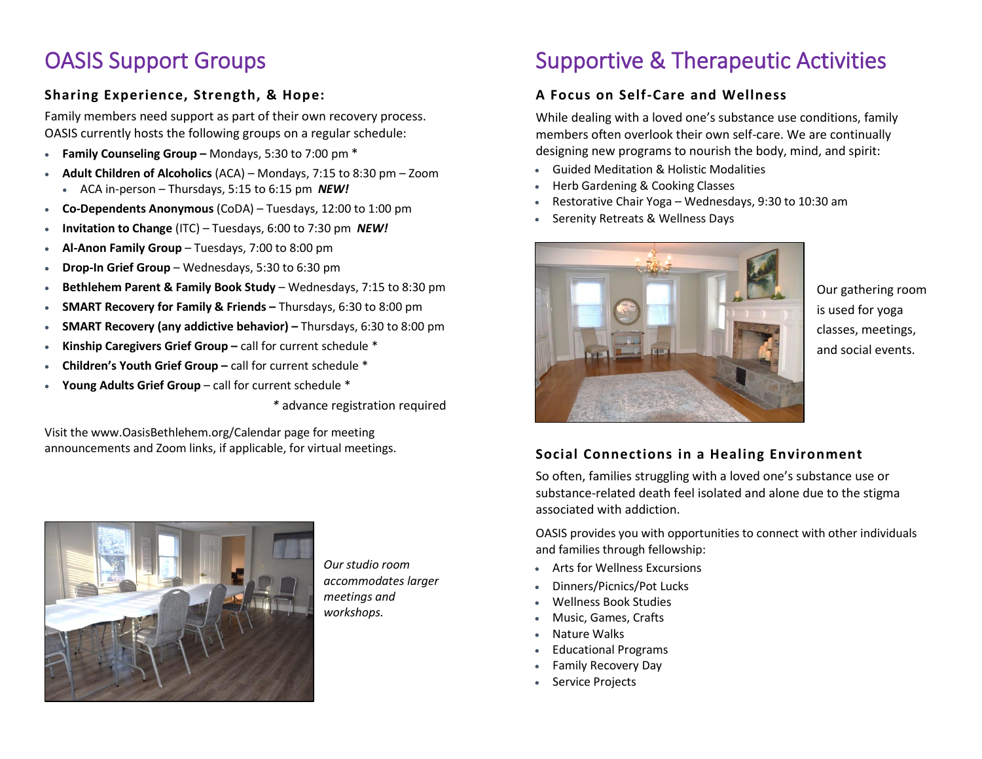## OASIS Support Groups

### **Sharing Experience, Strength, & Hope:**

Family members need support as part of their own recovery process. OASIS currently hosts the following groups on a regular schedule:

- **Family Counseling Group –** Mondays, 5:30 to 7:00 pm \*
- **Adult Children of Alcoholics** (ACA) Mondays, 7:15 to 8:30 pm Zoom • ACA in-person – Thursdays, 5:15 to 6:15 pm *NEW!*
- **Co-Dependents Anonymous** (CoDA) Tuesdays, 12:00 to 1:00 pm
- **Invitation to Change** (ITC) Tuesdays, 6:00 to 7:30 pm *NEW!*
- **Al-Anon Family Group** Tuesdays, 7:00 to 8:00 pm
- **Drop-In Grief Group**  Wednesdays, 5:30 to 6:30 pm
- **Bethlehem Parent & Family Book Study** Wednesdays, 7:15 to 8:30 pm
- **SMART Recovery for Family & Friends –** Thursdays, 6:30 to 8:00 pm
- **SMART Recovery (any addictive behavior) –** Thursdays, 6:30 to 8:00 pm
- **Kinship Caregivers Grief Group –** call for current schedule \*
- **Children's Youth Grief Group –** call for current schedule \*
- **Young Adults Grief Group** call for current schedule \*

*\** advance registration required

Visit the www.OasisBethlehem.org/Calendar page for meeting announcements and Zoom links, if applicable, for virtual meetings.



*Our studio room accommodates larger meetings and workshops.*

# Supportive & Therapeutic Activities

### **A Focus on Self-Care and Wellness**

While dealing with a loved one's substance use conditions, family members often overlook their own self-care. We are continually designing new programs to nourish the body, mind, and spirit:

- Guided Meditation & Holistic Modalities
- Herb Gardening & Cooking Classes
- Restorative Chair Yoga Wednesdays, 9:30 to 10:30 am
- Serenity Retreats & Wellness Days



Our gathering room is used for yoga classes, meetings, and social events.

### **Social Connections in a Healing Environment**

So often, families struggling with a loved one's substance use or substance-related death feel isolated and alone due to the stigma associated with addiction.

OASIS provides you with opportunities to connect with other individuals and families through fellowship:

- Arts for Wellness Excursions
- Dinners/Picnics/Pot Lucks
- Wellness Book Studies
- Music, Games, Crafts
- Nature Walks
- Educational Programs
- Family Recovery Day
- Service Projects